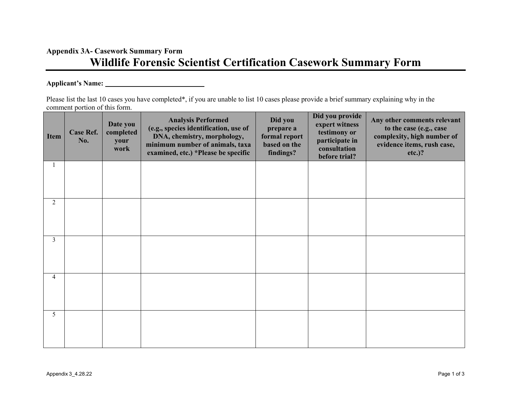## **Appendix 3A- Casework Summary Form Wildlife Forensic Scientist Certification Casework Summary Form**

## **Applicant's Name:**

Please list the last 10 cases you have completed\*, if you are unable to list 10 cases please provide a brief summary explaining why in the comment portion of this form.

| <b>Item</b>    | <b>Case Ref.</b><br>No. | Date you<br>completed<br>your<br>work | <b>Analysis Performed</b><br>(e.g., species identification, use of<br>DNA, chemistry, morphology,<br>minimum number of animals, taxa<br>examined, etc.) *Please be specific | Did you<br>prepare a<br>formal report<br>based on the<br>findings? | Did you provide<br>expert witness<br>testimony or<br>participate in<br>consultation<br>before trial? | Any other comments relevant<br>to the case (e.g., case<br>complexity, high number of<br>evidence items, rush case,<br>$etc.$ )? |
|----------------|-------------------------|---------------------------------------|-----------------------------------------------------------------------------------------------------------------------------------------------------------------------------|--------------------------------------------------------------------|------------------------------------------------------------------------------------------------------|---------------------------------------------------------------------------------------------------------------------------------|
|                |                         |                                       |                                                                                                                                                                             |                                                                    |                                                                                                      |                                                                                                                                 |
| 2              |                         |                                       |                                                                                                                                                                             |                                                                    |                                                                                                      |                                                                                                                                 |
| 3              |                         |                                       |                                                                                                                                                                             |                                                                    |                                                                                                      |                                                                                                                                 |
| $\overline{4}$ |                         |                                       |                                                                                                                                                                             |                                                                    |                                                                                                      |                                                                                                                                 |
| 5              |                         |                                       |                                                                                                                                                                             |                                                                    |                                                                                                      |                                                                                                                                 |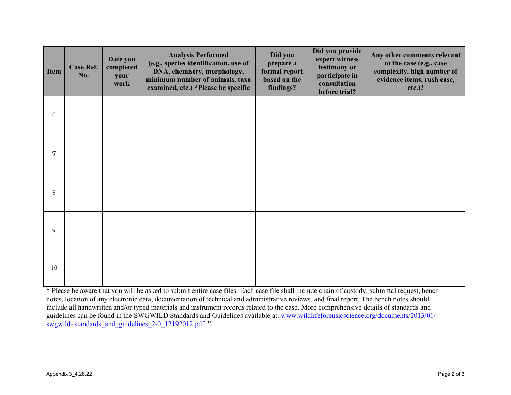| <b>Item</b> | <b>Case Ref.</b><br>No. | Date you<br>completed<br>your<br>work | <b>Analysis Performed</b><br>(e.g., species identification, use of<br>DNA, chemistry, morphology,<br>minimum number of animals, taxa<br>examined, etc.) *Please be specific | Did you<br>prepare a<br>formal report<br>based on the<br>findings? | Did you provide<br>expert witness<br>testimony or<br>participate in<br>consultation<br>before trial? | Any other comments relevant<br>to the case (e.g., case<br>complexity, high number of<br>evidence items, rush case,<br>$etc.$ )? |
|-------------|-------------------------|---------------------------------------|-----------------------------------------------------------------------------------------------------------------------------------------------------------------------------|--------------------------------------------------------------------|------------------------------------------------------------------------------------------------------|---------------------------------------------------------------------------------------------------------------------------------|
| 6           |                         |                                       |                                                                                                                                                                             |                                                                    |                                                                                                      |                                                                                                                                 |
| 7           |                         |                                       |                                                                                                                                                                             |                                                                    |                                                                                                      |                                                                                                                                 |
| 8           |                         |                                       |                                                                                                                                                                             |                                                                    |                                                                                                      |                                                                                                                                 |
| 9           |                         |                                       |                                                                                                                                                                             |                                                                    |                                                                                                      |                                                                                                                                 |
| 10          |                         |                                       |                                                                                                                                                                             |                                                                    |                                                                                                      |                                                                                                                                 |

\* Please be aware that you will be asked to submit entire case files. Each case file shall include chain of custody, submittal request, bench notes, location of any electronic data, documentation of technical and administrative reviews, and final report. The bench notes should include all handwritten and/or typed materials and instrument records related to the case. More comprehensive details of standards and guidelines can be [found in the SWGWILD Standards and Guidelines available at:](http://www.wildlifeforensicscience.org/documents/2013/01/swgwild-standards_and_guidelines_2-0_12192012.pdf) www.wildlifeforensicscience.org/documents/2013/01/ swgwild- [standards\\_and\\_guidelines\\_2-0\\_12192](http://www.wildlifeforensicscience.org/documents/2013/01/swgwild-standards_and_guidelines_2-0_12192012.pdf)012.pdf .**"**